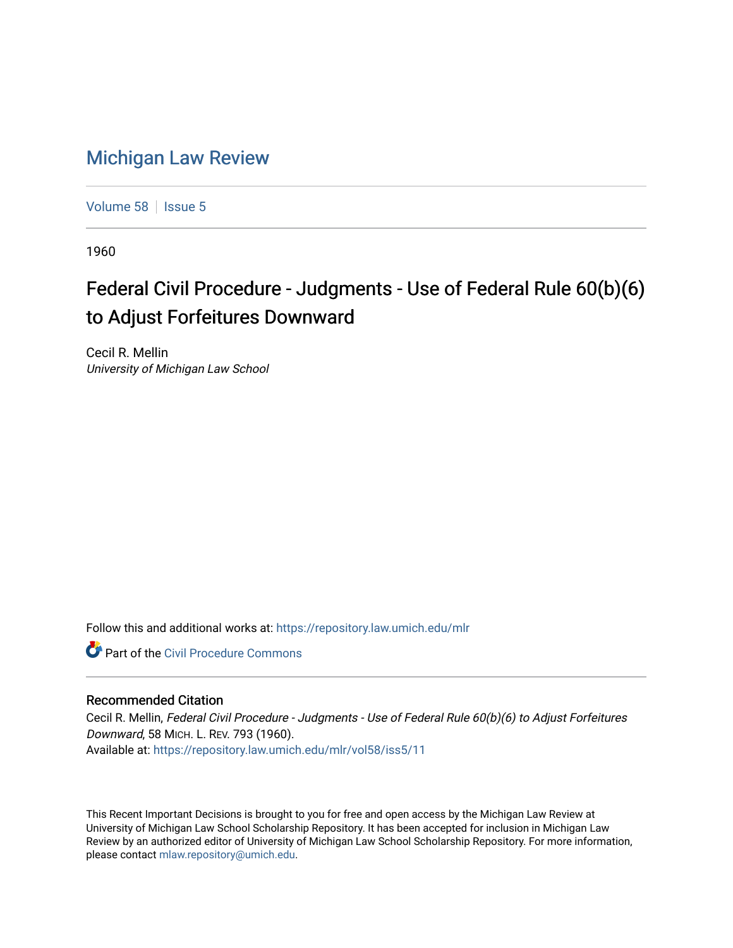## [Michigan Law Review](https://repository.law.umich.edu/mlr)

[Volume 58](https://repository.law.umich.edu/mlr/vol58) | [Issue 5](https://repository.law.umich.edu/mlr/vol58/iss5)

1960

## Federal Civil Procedure - Judgments - Use of Federal Rule 60(b)(6) to Adjust Forfeitures Downward

Cecil R. Mellin University of Michigan Law School

Follow this and additional works at: [https://repository.law.umich.edu/mlr](https://repository.law.umich.edu/mlr?utm_source=repository.law.umich.edu%2Fmlr%2Fvol58%2Fiss5%2F11&utm_medium=PDF&utm_campaign=PDFCoverPages) 

**C** Part of the Civil Procedure Commons

## Recommended Citation

Cecil R. Mellin, Federal Civil Procedure - Judgments - Use of Federal Rule 60(b)(6) to Adjust Forfeitures Downward, 58 MICH. L. REV. 793 (1960). Available at: [https://repository.law.umich.edu/mlr/vol58/iss5/11](https://repository.law.umich.edu/mlr/vol58/iss5/11?utm_source=repository.law.umich.edu%2Fmlr%2Fvol58%2Fiss5%2F11&utm_medium=PDF&utm_campaign=PDFCoverPages) 

This Recent Important Decisions is brought to you for free and open access by the Michigan Law Review at University of Michigan Law School Scholarship Repository. It has been accepted for inclusion in Michigan Law Review by an authorized editor of University of Michigan Law School Scholarship Repository. For more information, please contact [mlaw.repository@umich.edu.](mailto:mlaw.repository@umich.edu)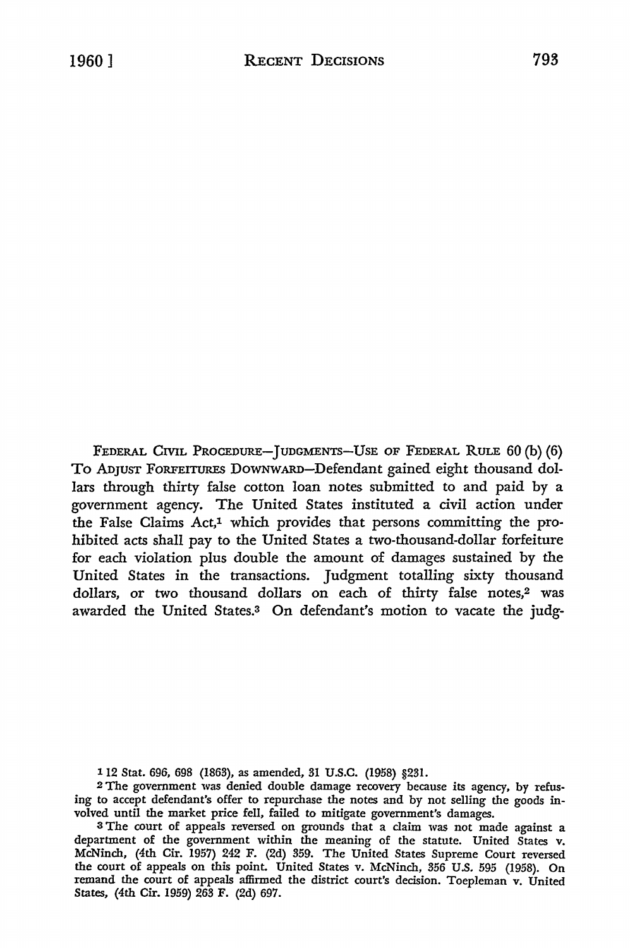FEDERAL CIVIL PROCEDURE-JUDGMENTS-USE OF FEDERAL RULE 60 (b) (6) To ADJUST FORFEITURES DOWNWARD-Defendant gained eight thousand dollars through thirty false cotton loan notes submitted to and paid by a government agency. The United States instituted a civil action under the False Claims Act,1 which provides that persons committing the prohibited acts shall pay to the United States a two-thousand-dollar forfeiture for each violation plus double the amount of damages sustained by the United States in the transactions. Judgment totalling sixty thousand dollars, or two thousand dollars on each of thirty false notes,<sup>2</sup> was awarded the United States.<sup>3</sup> On defendant's motion to vacate the judg-

112 Stat. 696, 698 (1863), as amended, 31 U.S.C. (1958) §231.

2 The government was denied double damage recovery because its agency, by refusing to accept defendant's offer to repurchase the notes and by not selling the goods involved until the market price fell, failed to mitigate government's damages.

<sup>3</sup>The court of appeals reversed on grounds that a claim was not made against a department of the government within the meaning of the statute. United States v. McNinch, (4th Cir. 1957) 242 F. (2d) 359. The United States Supreme Court reversed the court of appeals on this point. United States v. McNinch, 356 U.S. 595 (1958). On remand the court of appeals affirmed the district court's decision. Toepleman v. United States, (4th Cir. 1959) 263 F. (2d) 697.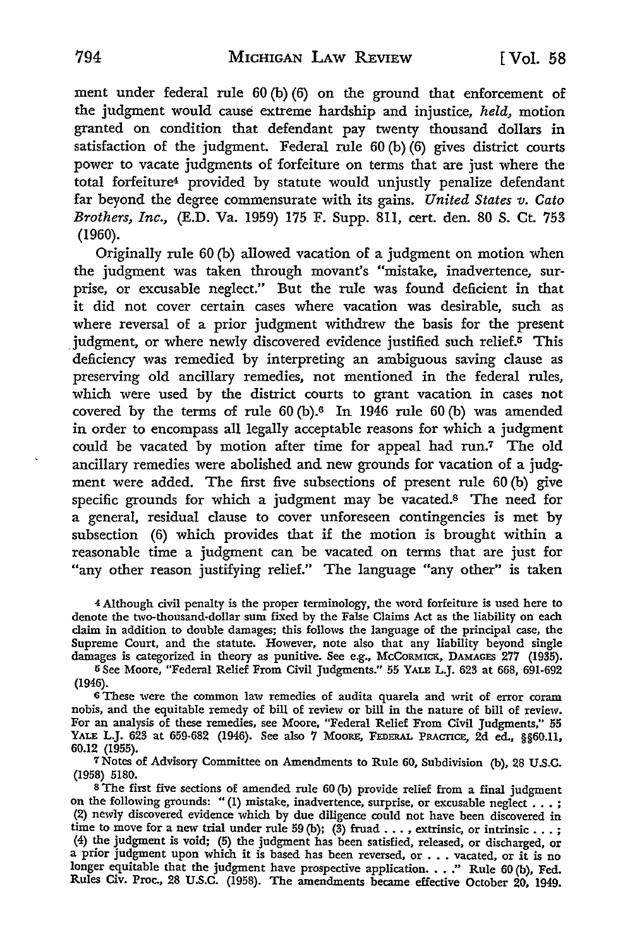ment under federal rule 60 (b) (6) on the ground that enforcement of the judgment would cause extreme hardship and injustice, *held,* motion granted on condition that defendant pay twenty thousand dollars in satisfaction of the judgment. Federal rule 60 (b) (6) gives district courts power to vacate judgments of forfeiture on terms that are just where the total forfeiture4 provided by statute would unjustly penalize defendant far beyond the degree commensurate with its gains. *United States v. Cato Brothers, Inc.,* (E.D. Va. 1959) 175 F. Supp. 8ll, cert. den. 80 S. Ct. 753 (1960).

Originally rule 60 (b) allowed vacation of a judgment on motion when the judgment was taken through movant's "mistake, inadvertence, surprise, or excusable neglect." But the rule was found deficient in that it did not cover certain cases where vacation was desirable, such as where reversal of a prior judgment withdrew the basis for the present judgment, or where newly discovered evidence justified such relief.<sup>5</sup> This deficiency was remedied by interpreting an ambiguous saving clause as preserving old ancillary remedies, not mentioned in the federal rules, which were used by the district courts to grant vacation in cases not covered by the terms of rule  $60$  (b).<sup>6</sup> In 1946 rule  $60$  (b) was amended in order to encompass all legally acceptable reasons for which a judgment could be vacated by motion after time for appeal had run.7 The old ancillary remedies were abolished and new grounds for vacation of a judgment were added. The first five subsections of present rule 60 (b) give specific grounds for which a judgment may be vacated.8 The need for a general, residual clause to cover unforeseen contingencies is met by subsection (6) which provides that if the motion is brought within a reasonable time a judgment can be vacated on terms that are just for "any other reason justifying relief." The language "any other" is taken

<sup>4</sup>Although civil penalty is the proper terminology, the word forfeiture is used here to denote the two-thousand-dollar sum fixed by the False Claims Act as the liability on each claim in addition to double damages; this follows the language of the principal case, the Supreme Court, and the statute. However, note also that any liability beyond single damages is categorized in theory as punitive. See e.g., McCoRMICK, DAMAGES 277 (1935).

5 See Moore, "Federal Relief From Civil Judgments." 55 YALE L.J. 623 at 668, 691-692 (1946).

6 These were the common law remedies of audita quarela and writ of error coram nobis, and the equitable remedy of bill of review or bill in the nature of bill of review. For an analysis of these remedies, see Moore, "Federal Relief From Civil Judgments," 55 YALE L.J. 623 at 659-682 (1946). See also 7 Moore, Federal Practice, 2d ed., §§60.11, 60.12 (1955).

7Notes of Advisory Committee on Amendments to Rule 60, Subdivision (b), 28 U.S.C. (1958) 5180.

<sup>8</sup>The first five sections of amended rule 60 (b) provide relief from a final judgment on the following grounds: "(1) mistake, inadvertence, surprise, or excusable neglect . . .; (2) newly discovered evidence which by due diligence could not have been discovered in time to move for a new trial under rule 59 (b); (3) fruid ..., extrinsic, or intrinsic...;<br>(4) the judgment is void; (5) the judgment has been satisfied, released, or discharged, or<br>a prior judgment upon which it is based longer equitable that the judgment have prospective application.  $\ldots$ ." Rule 60 (b), Fed. Rules Civ. Proc., 28 U.S.C. (1958). The amendments became effective October 20, 1949.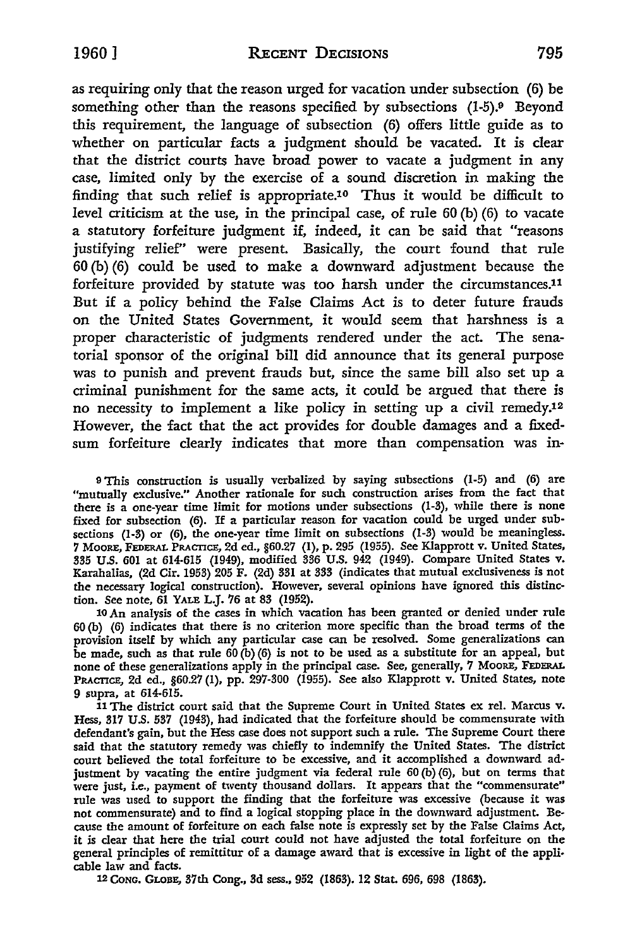as requiring only that the reason urged for vacation under subsection (6) be something other than the reasons specified by subsections (1-5).<sup>9</sup> Beyond this requirement, the language of subsection (6) offers little guide as to whether on particular facts a judgment should be vacated. It is clear that the district courts have broad power to vacate a judgment in any case, limited only by the exercise of a sound discretion in making the finding that such relief is appropriate.1° Thus it would be difficult to level criticism at the use, in the principal case, of rule 60 (b) (6) to vacate a statutory forfeiture judgment if, indeed, it can be said that "reasons justifying relief" were present. Basically, the court found that rule  $60$  (b) (6) could be used to make a downward adjustment because the forfeiture provided by statute was too harsh under the circumstances.11 But if a policy behind the False Claims Act is to deter future frauds on the United States Government, *it* would seem that harshness is a proper characteristic of judgments rendered under the act. The senatorial sponsor of the original bill did announce that its general purpose was to punish and prevent frauds but, since the same bill also set up a criminal punishment for the same acts, it could be argued that there is no necessity to implement a like policy in setting up a civil remedy.1<sup>2</sup> However, the fact that the act provides for double damages and a fixedsum forfeiture clearly indicates that more than compensation was in-

9 This construction is usually verbalized by saying subsections (1-5) and (6) are "mutually exclusive." Another rationale for such construction arises from the fact that there is a one-year time limit for motions under subsections (1-3), while there is none fixed for subsection (6). If a particular reason for vacation could be urged under subsections (1-3) or (6), the one-year time limit on subsections (1-3) would be meaningless. 7 Moore, FEDERAL PRACTICE, 2d ed., §60.27 (I), p. 295 (1955). See Klapprott v. United States,<br>335 U.S. 601 at 614-615 (1949), modified 336 U.S. 942 (1949). Compare United States v. Karahalias, (2d Cir. 1953) 205 F. (2d) 331 at 333 (indicates that mutual exclusiveness is not the necessary logical construction). However, several opinions have ignored this distinction. See note, 61 YALE L.J. 76 at 83 (1952).

10 An analysis of the cases in which vacation has been granted or denied under rule 60 (b) (6) indicates that there is no criterion more specific than the broad terms of the provision itself by which any particular case can be resolved. Some generalizations can be made, such as that rule  $60(b)(6)$  is not to be used as a substitute for an appeal, but none of these generalizations apply in the principal case. See, generally, 7 MOORE, FEDERAL PRACTICE, 2d ed., §60.27 (1), pp. 297-300 (1955). See also Klapprott v. United States, note 9 supra, at 614-615.

11 The district court said that the Supreme Court in United States ex rel. Marcus v. Hess, 317 U.S. 537 (1943), had indicated that the forfeiture should be commensurate with defendant's gain, but the Hess case does not support such a rule. The Supreme Court there said that the statutory remedy was chiefly to indemnify the United States. The district court believed the total forfeiture to be excessive, and it accomplished a downward adjustment by vacating the entire judgment via federal rule 60 (b) (6), but on terms that were just, i.e., payment of twenty thousand dollars. It appears that the "commensurate" rule was used to support the finding that the forfeiture was excessive (because it was not commensurate) and to find a logical stopping place in the downward adjustment. Because the amount of forfeiture on each false note is expressly set by the False Claims Act, it is clear that here the trial court could not have adjusted the total forfeiture on the general principles of remittitur of a damage award that is excessive in light of the applicable law and facts.

12 CONG. GLOBE, 37th Cong., 3d sess., 952 (1863). 12 Stat. 696, 698 (1863).